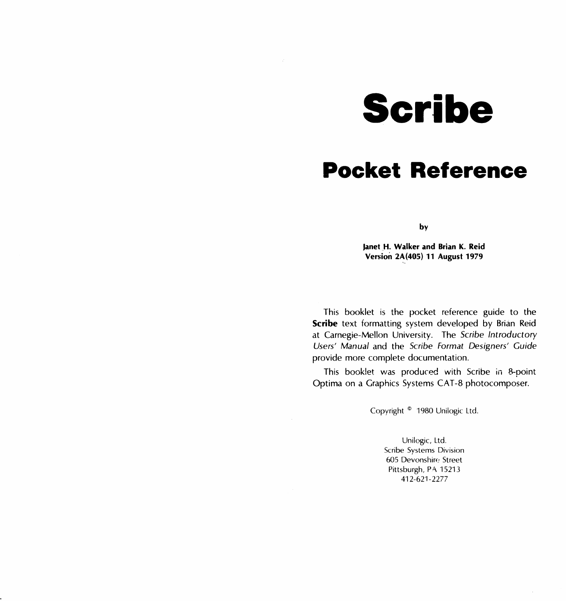**Scribe** 

# **Pocket Reference**

by

**Janet H. Walker and Brian K. Reid Version 2A(405) 11 August 1979** 

This booklet is the pocket reference guide to the **Scribe** text formatting system developed by Brian Reid at Carnegie-Mellon University. The Scribe Introductory Users' Manual and the Scribe Format Designers' Guide provide more complete documentation.

This booklet was produced with Scribe in 8-point Optima on a Graphics Systems CAT-8 photocomposer.

Copyright © 1980 Unilogic Ltd.

Unilogic, Ltd. Scribe Systems Division 605 Devonshire Street Pittsburgh, PA 15213 412-621-2277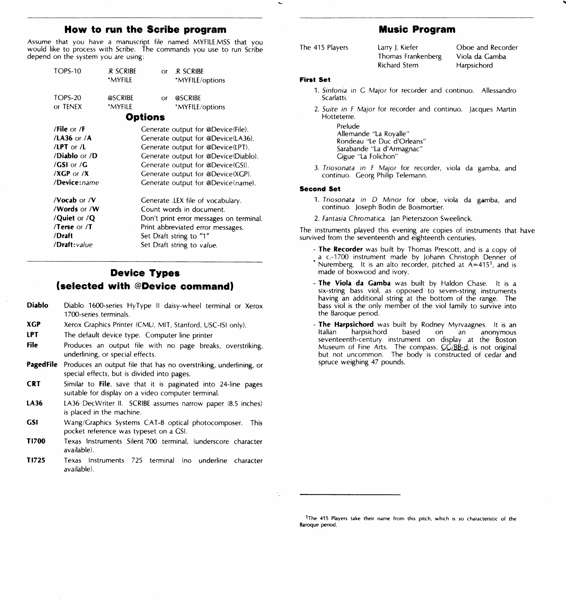# **How to run the Scribe program**

Assume that you have a manuscript file named MYFILE.MSS that you would like to process with Scribe. The commands you use to run Scribe depend on the system you are using:

| <b>TOPS-10</b><br><b>TOPS-20</b><br>or TENEX | <b>R SCRIBE</b><br>*MYFII F<br>@SCRIBE<br>*MYFILE | R SCRIBE<br>$\alpha$<br>*MYFILE/options<br><b>@SCRIBE</b><br>$\alpha$<br>*MYFILE/options |
|----------------------------------------------|---------------------------------------------------|------------------------------------------------------------------------------------------|
|                                              |                                                   | <b>Options</b>                                                                           |
|                                              |                                                   |                                                                                          |
| /File or $/F$                                |                                                   | Generate output for @Device(File).                                                       |
| /LA36 or /A                                  |                                                   | Generate output for @Device(LA36).                                                       |
| /LPT or $/L$                                 |                                                   | Generate output for @Device(LPT).                                                        |
| / <b>Diablo</b> or / <b>D</b>                |                                                   | Generate output for @Device(Diablo).                                                     |
| /GSI or /G                                   |                                                   | Generate output for @Device(GSI).                                                        |
| $/XGP$ or $/X$                               |                                                   | Generate output for @Device(XGP).                                                        |
| /Device:name                                 |                                                   | Generate output for @Device(name).                                                       |
| /Vocab or /V                                 |                                                   | Generate .LEX file of vocabulary.                                                        |
| /Words or /W                                 |                                                   | Count words in document.                                                                 |
| /Quiet or /Q                                 |                                                   | Don't print error messages on terminal.                                                  |
| /Terse or /T                                 |                                                   | Print abbreviated error messages.                                                        |
| /Draft                                       |                                                   | Set Draft string to "1"                                                                  |
| /Draft: value                                |                                                   | Set Draft string to value.                                                               |
|                                              |                                                   |                                                                                          |

# **Device Types (selected with @Device command)**

- **Diab lo**  Diablo 1600-series HyType II daisy-wheel terminal or Xerox 1700-series terminals.
- **XGP**  Xerox Graphics Printer (CMU, MIT, Stanford, USC-ISi only).
- **LPT**  The default device type. Computer line printer
- **File**  Produces an output file with no page breaks, overstriking, underlining, or special effects.
- **Paged File** Produces an output file that has no overstriking, underlining, or special effects, but is divided into pages.
- **CRT**  Similar to **File,** save that it is paginated into 24-line pages suitable for display on a video computer terminal.
- **LA36**  LA36 DecWriter II. SCRIBE assumes narrow paper (8.5 inches) is placed in the machine.
- **GSI**  Wang/Graphics Systems CAT-8 optical photocomposer. This pocket reference was typeset on a GSI.
- **Tl700**  Texas Instruments Silent 700 terminal, (underscore character available).
- **Tl725**  Texas Instruments 725 terminal (no underline character available).

# **Music Program**

| The 415 Players | Larry J. Kiefer    | Oboe and Recorder |
|-----------------|--------------------|-------------------|
|                 | Thomas Frankenberg | Viola da Gamba    |
|                 | Richard Stern      | Harpsichord       |

#### **First Set**

- 1. Sinfonia in G Major for recorder and continuo. Allessandro Scarlatti.
- 2. Suite in F Major for recorder and continuo. Jacques Martin Hotteterre.

Prelude Allemande "La Royalle" Rondeau "Le Duc d'Orleans" Sarabande "La d' Armagnac" Gigue "La Folichon"

3. Triosonata in F Major for recorder, viola da gamba, and continua. Georg Philip Telemann.

## **Second Set**

- 1. Triosonata in D Minor for oboe, viola da gamba, and continua. Joseph Bodin de Boismortier.
- 2. Fantasia Chromatica. Jan Pieterszoon Sweelinck.

The instruments played this evening are copies of instruments that have survived from the seventeenth and eighteenth centuries.

- **The Recorder** was built by Thomas Prescott, and is a copy of • a c.-1700 instrument made by Johann Christoph Denner of Nuremberg. It is an alto recorder, pitched at  $A=415<sup>1</sup>$ , and is made of boxwood and ivory.
- **The Viola da Gamba** was built by Haldon Chase. It is a six-string bass viol, as opposed to seven-string instruments having an additional string at the bottom of the range. The bass viol is the only member of the viol family to survive into the Baroque period.
- **The Harpsichord** was built by Rodney Myrvaagnes. It is an Italian harpsichord based on an anonymous seventeenth-century instrument on display at the Boston Museum of Fine Arts. The compass,  $C\overline{C}/B\overline{B}-d$ , is not original but not uncommon. The body is constructed of cedar and spruce weighing 47 pounds.

**<sup>1</sup>The 415 Players take their name from this pitch, which is so characteristic of the Baroque period.**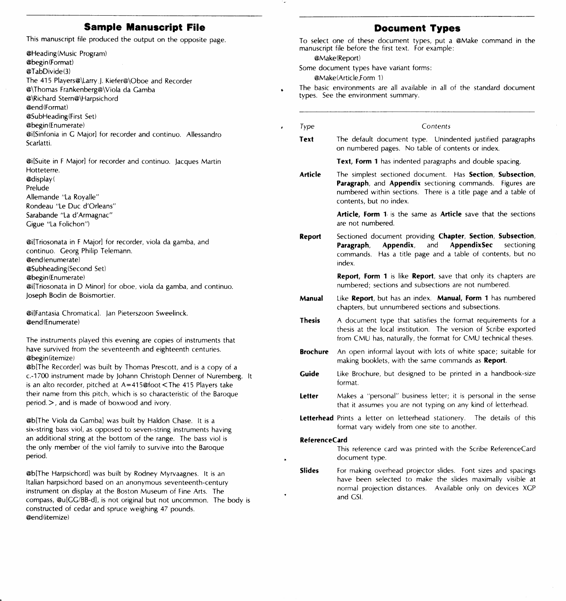# **Sample Manuscript File**

This manuscript file produced the output on the opposite page.

@Heading(Music Program) @begin(Format) @TabDivide(3) The 415 Players@\Larry J. Kiefer@\Oboe and Recorder @\Thomas Frankenberg@\Viola da Gamba @\Richard Stern@\Harpsichord @end(Format) @SubHeading(First Set) @begin(Enumerate) @i[Sinfonia in G Major] for recorder and continua. Allessandro Scarlatti.

@i[Suite in F Major] for recorder and continua. Jacques Martin Hotteterre. @display( Prelude Allemande "La Royalle" Rondeau "Le Due d'Orleans" Sarabande "La d' Armagnac" Gigue "La Folichon")

@i[Triosonata in F Major] for recorder. viola da gamba, and continua. Georg Philip Telemann. @end (enumerate) @Subheading(Second Set) @begin(Enumeratel @i[Triosonata in D Minor] for oboe, viola da gamba, and continua. Joseph Bodin de Boismortier.

@i[Fantasia Chromatical. Jan Pieterszoon Sweelinck. @end (Enumerate)

The instruments played this evening are copies of instruments that have survived from the seventeenth and eighteenth centuries. @begin(itemize)

@b[The Recorder] was built by Thomas Prescott, and is a copy of a c.-1700 instrument made by Johann Christoph Denner of Nuremberg. It is an alto recorder, pitched at A=415@foot <The 415 Players take their name from this pitch, which is so characteristic of the Baroque period.>, and is made of boxwood and ivory.

@b[The Viola da Gamba] was built by Haldon Chase. It is a six-string bass viol, as opposed to seven-string instruments having an additional string at the bottom of the range. The bass viol is the only member of the viol family to survive into the Baroque period.

@b[The Harpsichord] was built by Rodney Myrvaagnes. It is an Italian harpsichord based on an anonymous seventeenth-century instrument on display at the Boston Museum of Fine Arts. The compass, @u[GG/BB-d], is not original but not uncommon. The body is constructed of cedar and spruce weighing 47 pounds. @end(itemize)

# **Document Types**

To select one of these document types, put a @Make command in the manuscript file before the first text. For example:

@Make(Report)

 $\ddot{\phantom{a}}$ 

Some document types have variant forms:

@Make !Article ,Form 1)

- The basic environments are all available in all of the standard document types. See the environment summary.
	- Type Contents
- **Text**  The default document type. Unindented justified paragraphs on numbered pages. No table of contents or index.

**Text, Form 1** has indented paragraphs and double spacing.

**Article**  The simplest sectioned document. Has **Section, Subsection, Paragraph,** and **Appendix** sectioning commands. Figures are numbered within sections. There is a title page and a table of contents, but no index.

> **Article, Form 1.** is the same as **Article** save that the sections are not numbered.

**Report** Sectioned document providing **Chapter, Section, Subsection, Paragraph, Appendix,** and **AppendixSec** sectioning commands. Has a title page and a table of contents, but no index.

> **Report, Form 1** is like **Report,** save that only its chapters are numbered; sections and subsections are not numbered.

- **Manual** Like **Report,** but has an index. **Manual, Form 1** has numbered chapters, but unnumbered sections and subsections.
- **Thesis** A document type that satisfies the format requirements for a thesis at the local institution. The version of Scribe exported from CMU has, naturally, the format for CMU technical theses.
- **Brochure** An open informal layout with lots of white space; suitable for making booklets, with the same commands as **Report.**
- **Guide** Like Brochure, but designed to be printed in a handbook-size format.
- **letter** Makes a "personal" business letter; it is personal in the sense that it assumes you are not typing on any kind of letterhead.
- **letterhead** Prints a letter on letterhead stationery. The details of this format vary widely from one site to another.

## **ReferenceCard**

This reference card was printed with the Scribe ReferenceCard document type.

**Slides**  For making overhead projector slides. Font sizes and spacings have been selected to make the slides maximally visible at normal projection distances. Available only on devices XGP and GSI.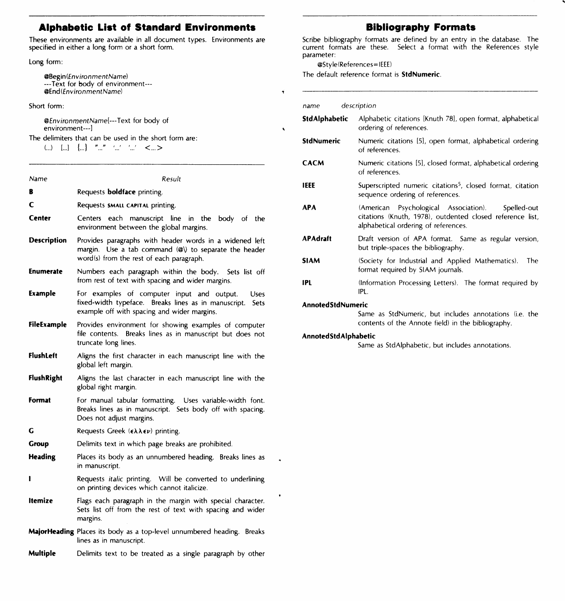# **Alphabetic List of Standard Environments**

These environments are available in all document types. Environments are specified in either a long form or a short form.

# Long form:

@Begin(fnvironmentName) ---Text for body of environment--- @End(EnvironmentName)

## Short form:

@EnvironroentName[---Text for body of environment---]

The delimiters that can be used in the short form are:

(...) **L.J** { ... } ,, **fl** I I 'I < ... >

| Name               | Result                                                                                                                                                                                |
|--------------------|---------------------------------------------------------------------------------------------------------------------------------------------------------------------------------------|
| R                  | Requests <b>boldface</b> printing.                                                                                                                                                    |
| C                  | Requests SMALL CAPITAL printing.                                                                                                                                                      |
| Center             | Centers each manuscript line in the<br>body of the<br>environment between the global margins.                                                                                         |
| <b>Description</b> | Provides paragraphs with header words in a widened left<br>margin. Use a tab command $\langle \mathcal{Q} \rangle$ to separate the header<br>word(s) from the rest of each paragraph. |
| <b>Enumerate</b>   | Numbers each paragraph within the body. Sets list off<br>from rest of text with spacing and wider margins.                                                                            |
| Example            | For examples of computer input and output.<br>Uses<br>fixed-width typeface. Breaks lines as in manuscript. Sets<br>example off with spacing and wider margins.                        |
| FileExample        | Provides environment for showing examples of computer<br>file contents. Breaks lines as in manuscript but does not<br>truncate long lines.                                            |
| <b>FlushLeft</b>   | Aligns the first character in each manuscript line with the<br>global left margin.                                                                                                    |
| <b>FlushRight</b>  | Aligns the last character in each manuscript line with the<br>global right margin.                                                                                                    |
| Format             | For manual tabular formatting. Uses variable-width font.<br>Breaks lines as in manuscript. Sets body off with spacing.<br>Does not adjust margins.                                    |
| G                  | Requests Greek $(\epsilon \lambda \lambda \epsilon \nu)$ printing.                                                                                                                    |
| Group              | Delimits text in which page breaks are prohibited.                                                                                                                                    |
| <b>Heading</b>     | Places its body as an unnumbered heading. Breaks lines as<br>in manuscript.                                                                                                           |
| ı                  | Requests <i>italic</i> printing. Will be converted to underlining<br>on printing devices which cannot italicize.                                                                      |
| <b>Itemize</b>     | Flags each paragraph in the margin with special character.<br>Sets list off from the rest of text with spacing and wider<br>margins.                                                  |
|                    | MajorHeading Places its body as a top-level unnumbered heading. Breaks                                                                                                                |
|                    | lines as in manuscript.                                                                                                                                                               |

# **Bibliography Formats**

Scribe bibliography formats are defined by an entry in the database. The current formats are these. Select a format with the References style parameter:

## @StylelReferences= IEEE)

The default reference format is **StdNumeric.** 

#### **name** description

 $\ddot{\phantom{0}}$ 

| StdAlphabetic            | Alphabetic citations [Knuth 78], open format, alphabetical<br>ordering of references.                                                                  |
|--------------------------|--------------------------------------------------------------------------------------------------------------------------------------------------------|
| <b>StdNumeric</b>        | Numeric citations [5], open format, alphabetical ordering<br>of references.                                                                            |
| <b>CACM</b>              | Numeric citations [5], closed format, alphabetical ordering<br>of references.                                                                          |
| IEEE                     | Superscripted numeric citations <sup>5</sup> , closed format, citation<br>sequence ordering of references.                                             |
| <b>APA</b>               | (American Psychological Association). Spelled-out<br>citations (Knuth, 1978), outdented closed reference list,<br>alphabetical ordering of references. |
| <b>APAdraft</b>          | Draft version of APA format. Same as regular version,<br>but triple-spaces the bibliography.                                                           |
| <b>SIAM</b>              | (Society for Industrial and Applied Mathematics).<br>The<br>format required by SIAM journals.                                                          |
| IPL                      | (Information Processing Letters). The format required by<br>IPL.                                                                                       |
| <b>AnnotedStdNumeric</b> |                                                                                                                                                        |

Same as StdNumeric, but includes annotations (i.e. the contents of the Annote field) in the bibliography.

## **AnnotedStdAlphabetic**

Same as StdAlphabetic, but includes annotations.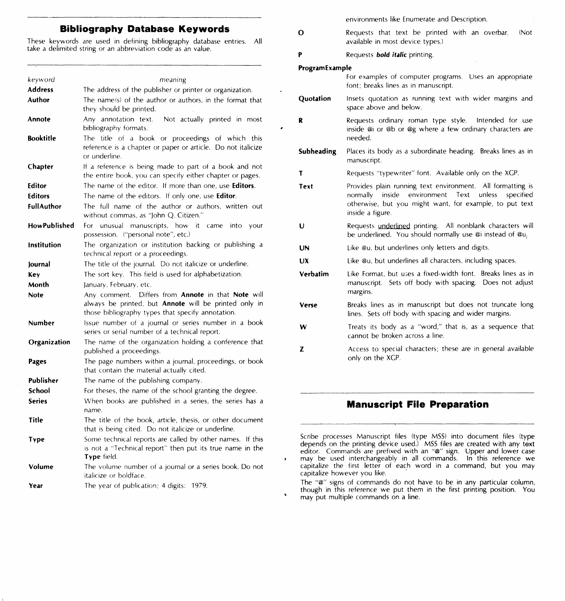# **Bibliography Database Keywords**

These keywords are used in defining bibliography database entries. All take a delimited string or an abbreviation code as an value.

| keyword            | meaning                                                                                                                                                          |
|--------------------|------------------------------------------------------------------------------------------------------------------------------------------------------------------|
| <b>Address</b>     | The address of the publisher or printer or organization.                                                                                                         |
| Author             | The name(s) of the author or authors, in the format that<br>they should be printed.                                                                              |
| Annote             | Any annotation text.<br>Not actually printed in most<br>bibliography formats.                                                                                    |
| Booktitle          | The title of a book or proceedings of which this<br>reference is a chapter or paper or article. Do not italicize<br>or underline.                                |
| Chapter            | If a reference is being made to part of a book and not<br>the entire book, you can specify either chapter or pages.                                              |
| Editor             | The name of the editor. If more than one, use Editors.                                                                                                           |
| <b>Editors</b>     | The name of the editors. If only one, use Editor.                                                                                                                |
| <b>FullAuthor</b>  | The full name of the author or authors, written out<br>without commas, as "John Q. Citizen."                                                                     |
| HowPublished       | unusual manuscripts, how it<br>For<br>came<br>into<br>your<br>possession. ("personal note", etc.)                                                                |
| <b>Institution</b> | The organization or institution backing or publishing a<br>technical report or a proceedings.                                                                    |
| Journal            | The title of the journal. Do not italicize or underline.                                                                                                         |
| Key                | The sort key. This field is used for alphabetization.                                                                                                            |
| Month              | January, February, etc.                                                                                                                                          |
| Note               | Any comment. Differs from Annote in that Note will<br>always be printed, but Annote will be printed only in<br>those bibliography types that specify annotation. |
| Number             | Issue number of a journal or series number in a book<br>series or serial number of a technical report.                                                           |
| Organization       | The name of the organization holding a conference that<br>published a proceedings.                                                                               |
| Pages              | The page numbers within a journal, proceedings, or book<br>that contain the material actually cited.                                                             |
| Publisher          | The name of the publishing company.                                                                                                                              |
| School             | For theses, the name of the school granting the degree.                                                                                                          |
| <b>Series</b>      | When books are published in a series, the series has a<br>name.                                                                                                  |
| Title              | The title of the book, article, thesis, or other document<br>that is being cited. Do not italicize or underline.                                                 |
| Type               | Some technical reports are called by other names. If this<br>is not a "Technical report" then put its true name in the<br>Type field.                            |
| Volume             | The volume number of a journal or a series book. Do not<br>italicize or boldface.                                                                                |
|                    | <b>Contract Contract</b><br>$\lambda$ is a second                                                                                                                |

**Year**  The year of publication; 4 digits: 1979. environments like Enumerate and Description.

- **0 Requests that text be printed with an overbar.** (Not available in most device types.)
- **P Requests** *bold**italic* **printing.**

#### **Program Example**

**Quotation**  For examples of computer programs. Uses an appropriate font; breaks lines as in manuscript. Insets quotation as Funning text with wider margins and space above and below.

- **R**  Requests ordinary roman type style. Intended for use inside @i or @b or @g where a few ordinary characters are needed.
- **Subheading**  Places its body as a subordinate heading. Breaks lines as in manuscript.
- **T**  Requests "typewriter" font. Available only on the XGP.
- **Text**  Provides plain running text environment. All formatting is normally inside environment Text unless specified otherwise, but you might want, for example, to put text inside a figure.
- **u**  Requests underljned printing. All nonblank characters will be underlined. You should normally use @i instead of @u,
- **UN**  Like @u, but underlines only letters and digits.
- **ux**  Like @u, but underlines all characters, including spaces.

**Verbatim**  Like Format, but uses a fixed-width font. Breaks lines as in manuscript. Sets off body with spacing. Does not adjust margins.

- **Verse**  Breaks lines as in manuscript but does not truncate long lines. Sets off body with spacing and wider margins.
- **w**  Treats its body as a "word," that is, as a sequence that cannot be broken across a line.
- **z**  Access to special characters; these are in general available only on the XGP.

# **Manuscript File Preparation**

Scribe processes Manuscript files (type MSS) into document files (type depends on the printing device used.) MSS files are created with any text editor. Commands are prefixed with an "@" sign. Upper and lower case may be used interchangeably in all commands. In this reference we capitalize the first letter of each word in a command, but you may capitalize however you like.

The "@" signs of commands do not have to be in any particular column, though in this reference we put them in the first printing position. You may put multiple commands on a line.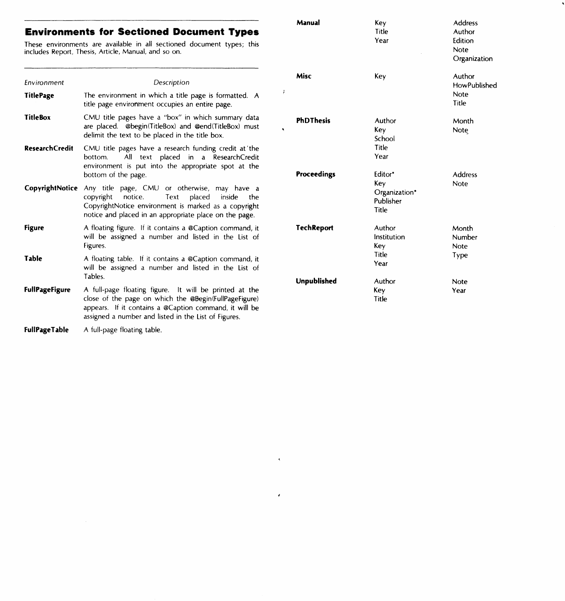# **Environments for Sectioned Document Types**

These environments are available in all sectioned document types; this includes Report, Thesis, Article, Manual, and so on.

| Environment           | Description                                                                                                                                                                                                                       |
|-----------------------|-----------------------------------------------------------------------------------------------------------------------------------------------------------------------------------------------------------------------------------|
| <b>TitlePage</b>      | The environment in which a title page is formatted. A<br>title page environment occupies an entire page.                                                                                                                          |
| <b>TitleBox</b>       | CMU title pages have a "box" in which summary data<br>are placed. @begin(TitleBox) and @end(TitleBox) must<br>delimit the text to be placed in the title box.                                                                     |
| <b>ResearchCredit</b> | CMU title pages have a research funding credit at the<br>All text placed in a ResearchCredit<br>bottom.<br>environment is put into the appropriate spot at the<br>bottom of the page.                                             |
| CopyrightNotice       | Any title page, CMU or otherwise, may have a<br>copyright notice.<br>Text placed<br>inside<br>the<br>CopyrightNotice environment is marked as a copyright<br>notice and placed in an appropriate place on the page.               |
| <b>Figure</b>         | A floating figure. If it contains a @Caption command, it<br>will be assigned a number and listed in the List of<br>Figures.                                                                                                       |
| Table                 | A floating table. If it contains a @Caption command, it<br>will be assigned a number and listed in the List of<br>Tables.                                                                                                         |
| <b>FullPageFigure</b> | A full-page floating figure. It will be printed at the<br>close of the page on which the @Begin(FullPageFigure)<br>appears. If it contains a @Caption command, it will be<br>assigned a number and listed in the List of Figures. |
| <b>FullPageTable</b>  | A full-page floating table.                                                                                                                                                                                                       |

| Manual            | Key<br>Title<br>Year                                  | <b>Address</b><br>Author<br>Edition<br>Note<br>Organization |
|-------------------|-------------------------------------------------------|-------------------------------------------------------------|
| Misc              | Key                                                   | Author<br><b>HowPublished</b><br>Note<br>Title              |
| <b>PhDThesis</b>  | Author<br>Key<br>School<br>Title<br>Year              | Month<br>Note                                               |
| Proceedings       | Editor*<br>Key<br>Organization*<br>Publisher<br>Title | <b>Address</b><br>Note                                      |
| <b>TechReport</b> | Author<br>Institution<br>Key<br>Title<br>Year         | Month<br>Number<br>Note<br>Type                             |
| Unpublished       | Author<br>Key<br>Title                                | Note<br>Year                                                |

 $\tilde{\tau}$ 

 $\bar{\star}$ 

 $\hat{\mathbf{z}}$ 

 $\hat{\pmb{r}}$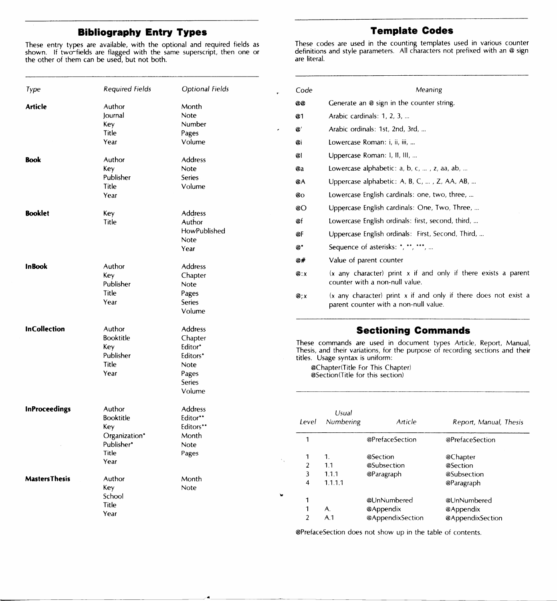# **Bibliography Entry Types**

These entry types are available, with the optional and required fields as shown. If two-fields are flagged with the same superscript, then one or the other of them can be used, but not both.

| <b>Template Codes</b>                                                                                                                                  |
|--------------------------------------------------------------------------------------------------------------------------------------------------------|
| These codes are used in the counting templates used in various counter<br>definitions and style parameters. All characters not prefixed with an @ sign |

are literal.

| Type                  | <b>Required Fields</b>                                | Optional Fields                                 |                    |                                                                      |                                                      |                                                                                                                                                     |
|-----------------------|-------------------------------------------------------|-------------------------------------------------|--------------------|----------------------------------------------------------------------|------------------------------------------------------|-----------------------------------------------------------------------------------------------------------------------------------------------------|
|                       |                                                       |                                                 | Code<br><b>@@</b>  |                                                                      | Meaning<br>Generate an @ sign in the counter string. |                                                                                                                                                     |
| <b>Article</b>        | Author<br>lournal                                     | Month<br>Note                                   | @1                 |                                                                      | Arabic cardinals: 1, 2, 3,                           |                                                                                                                                                     |
|                       | Key                                                   | Number                                          |                    |                                                                      |                                                      |                                                                                                                                                     |
|                       | Title                                                 | Pages                                           | $\mathcal{Q}'$     |                                                                      | Arabic ordinals: 1st, 2nd, 3rd,                      |                                                                                                                                                     |
|                       | Year                                                  | Volume                                          | @i                 |                                                                      | Lowercase Roman: i, ii, iii,                         |                                                                                                                                                     |
| <b>Book</b>           | Author                                                | Address                                         | ø۱                 |                                                                      | Uppercase Roman: I, II, III,                         |                                                                                                                                                     |
|                       | Key                                                   | Note                                            | @a                 |                                                                      | Lowercase alphabetic: $a, b, c, $ , $z, aa, ab, $    |                                                                                                                                                     |
|                       | Publisher<br>Title                                    | <b>Series</b><br>Volume                         | ØΑ                 |                                                                      | Uppercase alphabetic: A, B, C, , Z, AA, AB,          |                                                                                                                                                     |
|                       | Year                                                  |                                                 | @o                 |                                                                      | Lowercase English cardinals: one, two, three,        |                                                                                                                                                     |
| <b>Booklet</b>        |                                                       |                                                 | @O                 |                                                                      | Uppercase English cardinals: One, Two, Three,        |                                                                                                                                                     |
|                       | Key<br>Title                                          | Address<br>Author                               | @f                 |                                                                      | Lowercase English ordinals: first, second, third,    |                                                                                                                                                     |
|                       |                                                       | HowPublished                                    | @F                 |                                                                      | Uppercase English ordinals: First, Second, Third,    |                                                                                                                                                     |
|                       |                                                       | Note<br>Year                                    | $\boldsymbol{a}^*$ |                                                                      | Sequence of asterisks: *, **, ***,                   |                                                                                                                                                     |
|                       |                                                       |                                                 | @#                 |                                                                      | Value of parent counter                              |                                                                                                                                                     |
| <b>InBook</b>         | Author<br>Key<br>Publisher                            | Address<br>Chapter<br>Note                      | Q: X               |                                                                      | counter with a non-null value.                       | $(x \text{ any character})$ print x if and only if there exists a parent                                                                            |
|                       | Title<br>Year                                         | Pages<br><b>Series</b><br>Volume                | $\mathbf{Q}$ : $x$ |                                                                      | parent counter with a non-null value.                | (x any character) print x if and only if there does not exist a                                                                                     |
| <b>InCollection</b>   | Author                                                | Address                                         |                    |                                                                      | <b>Sectioning Commands</b>                           |                                                                                                                                                     |
|                       | <b>Booktitle</b><br>Key<br>Publisher<br>Title<br>Year | Chapter<br>Editor*<br>Editors*<br>Note<br>Pages |                    | titles. Usage syntax is uniform:<br>@Section(Title for this section) | @Chapter(Title For This Chapter)                     | These commands are used in document types Article, Report, Manual,<br>Thesis, and their variations, for the purpose of recording sections and their |
|                       |                                                       | Series<br>Volume                                |                    |                                                                      |                                                      |                                                                                                                                                     |
| <b>InProceedings</b>  | Author<br><b>Booktitle</b><br>Key                     | Address<br>Editor**<br>Editors**                | Level              | Usual<br>Numbering                                                   | Article                                              | Report, Manual, Thesis                                                                                                                              |
|                       | Organization*<br>Publisher*                           | Month<br>Note                                   | $\mathbf{1}$       |                                                                      | @PrefaceSection                                      | @PrefaceSection                                                                                                                                     |
|                       | Title                                                 | Pages                                           | 1                  | $\mathbf{1}$ .                                                       | @Section                                             | @Chapter                                                                                                                                            |
|                       | Year                                                  |                                                 | $\overline{2}$     | 1.1                                                                  | @Subsection                                          | @Section                                                                                                                                            |
| <b>Masters Thesis</b> | Author                                                | Month                                           | 3                  | 1.1.1                                                                | @Paragraph                                           | @Subsection                                                                                                                                         |
|                       | Key                                                   | Note                                            | $\overline{4}$     | 1.1.1.1                                                              |                                                      | @Paragraph                                                                                                                                          |
|                       | School                                                |                                                 | 1                  |                                                                      | @UnNumbered                                          | @UnNumbered                                                                                                                                         |
|                       | Title                                                 |                                                 | 1                  | А.                                                                   | @Appendix                                            | @Appendix                                                                                                                                           |
|                       | Year                                                  |                                                 | $\overline{2}$     | A.1                                                                  | @AppendixSection                                     | @AppendixSection                                                                                                                                    |

@PrefaceSection does not show up in the table of contents.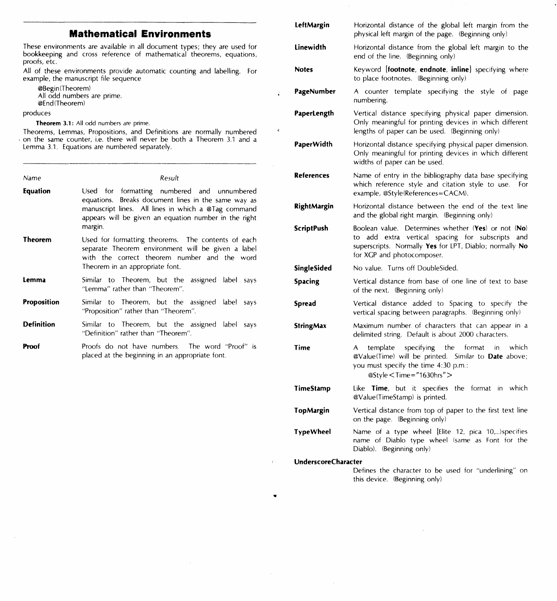# **Mathematical Environments**

These environments are available in all document types; they are used for bookkeeping and cross reference of mathematical theorems, equations, proofs, etc.

All of these environments provide automatic counting and labelling. For example, the manuscript file sequence

÷

 $\ddot{\phantom{a}}$ 

@Begin(Theorem) All odd numbers are prime. @End(Theorem)

## produces

**Theorem 3.1: All odd numbers are prime.** 

Theorems, Lemmas, Propositions, and Definitions are normally numbered . on the same counter, i.e. there will never be both a Theorem 3.1 and a Lemma 3.1. Equations are numbered separately.

| Name               | Result                                                                                                                                                                                                                        |
|--------------------|-------------------------------------------------------------------------------------------------------------------------------------------------------------------------------------------------------------------------------|
| Equation           | Used for formatting numbered and unnumbered<br>equations. Breaks document lines in the same way as<br>manuscript lines. All lines in which a @Tag command<br>appears will be given an equation number in the right<br>margin. |
| Theorem            | Used for formatting theorems. The contents of each<br>separate Theorem environment will be given a label<br>with the correct theorem number and the word<br>Theorem in an appropriate font.                                   |
| Lemma              | Similar to Theorem, but the assigned label<br>says<br>"Lemma" rather than "Theorem".                                                                                                                                          |
| <b>Proposition</b> | Similar to Theorem, but the assigned label<br>says<br>"Proposition" rather than "Theorem".                                                                                                                                    |
| <b>Definition</b>  | Similar to Theorem, but the assigned label<br>says<br>"Definition" rather than "Theorem".                                                                                                                                     |
| Proof              | Proofs do not have numbers. The word "Proof" is<br>placed at the beginning in an appropriate font.                                                                                                                            |

| LeftMargin                 | Horizontal distance of the global left margin from the<br>physical left margin of the page. (Beginning only)                                                                                           |
|----------------------------|--------------------------------------------------------------------------------------------------------------------------------------------------------------------------------------------------------|
| Linewidth                  | Horizontal distance from the global left margin to the<br>end of the line. (Beginning only)                                                                                                            |
| <b>Notes</b>               | Keyword {footnote, endnote, inline} specifying where<br>to place footnotes. (Beginning only)                                                                                                           |
| PageNumber                 | A counter template specifying the style of page<br>numbering.                                                                                                                                          |
| PaperLength                | Vertical distance specifying physical paper dimension.<br>Only meaningful for printing devices in which different<br>lengths of paper can be used. (Beginning only)                                    |
| PaperWidth                 | Horizontal distance specifying physical paper dimension.<br>Only meaningful for printing devices in which different<br>widths of paper can be used.                                                    |
| References                 | Name of entry in the bibliography data base specifying<br>which reference style and citation style to use.<br>For<br>example, @Style(References=CACM).                                                 |
| <b>RightMargin</b>         | Horizontal distance between the end of the text line<br>and the global right margin. (Beginning only)                                                                                                  |
| <b>ScriptPush</b>          | Boolean value. Determines whether (Yes) or not (No)<br>add extra vertical spacing for subscripts<br>and<br>to<br>superscripts. Normally Yes for LPT, Diablo; normally No<br>for XGP and photocomposer. |
| SingleSided                | No value. Turns off DoubleSided.                                                                                                                                                                       |
| <b>Spacing</b>             | Vertical distance from base of one line of text to base<br>of the next. (Beginning only)                                                                                                               |
| Spread                     | Vertical distance added to Spacing to specify the<br>vertical spacing between paragraphs. (Beginning only)                                                                                             |
| <b>StringMax</b>           | Maximum number of characters that can appear in a<br>delimited string. Default is about 2000 characters.                                                                                               |
| Time                       | specifying<br>the<br>format<br>which<br>A<br>template<br>in -<br>@Value(Time) will be printed. Similar to Date above;<br>you must specify the time 4:30 p.m.:<br>@Style < Time = "1630hrs" >           |
| TimeStamp                  | Like Time, but it specifies the format in which<br>@Value(TimeStamp) is printed.                                                                                                                       |
| TopMargin                  | Vertical distance from top of paper to the first text line<br>on the page. (Beginning only)                                                                                                            |
| TypeWheel                  | Name of a type wheel [Elite 12, pica 10,)specifies<br>name of Diablo type wheel (same as Font for the<br>Diablo). (Beginning only)                                                                     |
| <b>UnderscoreCharacter</b> |                                                                                                                                                                                                        |
|                            | Defines the character to be used for "underlining" on<br>this device. (Beginning only)                                                                                                                 |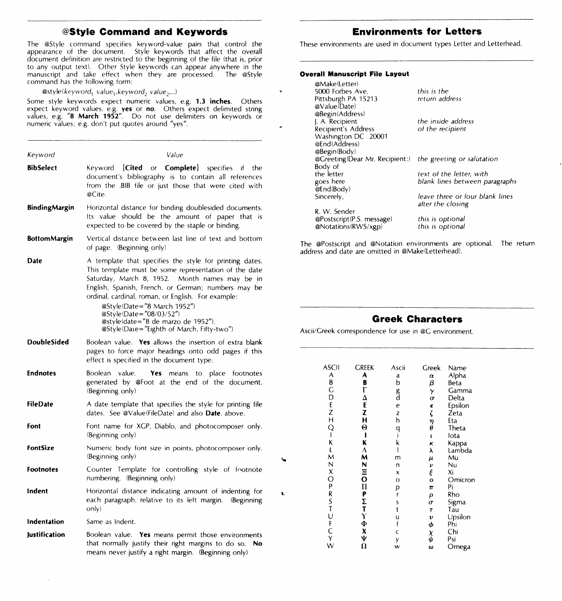# **@Style Command and Keywords**

The @Style command specifies keyword-value pairs that control the<br>appearance of the document. Style keywords that affect the overall<br>document definition are restricted to the beginning of the file (that is, prior to any output text). Other Style keywords can appear anywhere in the manuscript and take effect when they are processed. The @Style command has the following form:

@style(keyword<sub>1</sub> value<sub>1</sub>, keyword<sub>2</sub> value<sub>2</sub>,...)

Some style keywords expect numeric values, e.g. **1,3 inches.** Others expect keyword values, e.g. **yes or no.** Others expect delimited string values, e.g. **"8 March 1952".** Do not use delimiters on keywords or numeric values; e.g. don't put quotes around "yes".

| Keyword              | Value                                                                                                                                                                                                                                                                                                                                                                                                                        |
|----------------------|------------------------------------------------------------------------------------------------------------------------------------------------------------------------------------------------------------------------------------------------------------------------------------------------------------------------------------------------------------------------------------------------------------------------------|
| <b>BibSelect</b>     | (Cited or Complete)<br>Kevword<br>specifies if<br>the<br>document's bibliography is to contain all references<br>from the .BIB file or just those that were cited with<br>@Cite.                                                                                                                                                                                                                                             |
| <b>BindingMargin</b> | Horizontal distance for binding doublesided documents.<br>Its value should be the amount of paper that is<br>expected to be covered by the staple or binding.                                                                                                                                                                                                                                                                |
| <b>BottomMargin</b>  | Vertical distance between last line of text and bottom<br>of page. (Beginning only)                                                                                                                                                                                                                                                                                                                                          |
| Date                 | A template that specifies the style for printing dates.<br>This template must be some representation of the date<br>Saturday, March 8, 1952. Month names may be in<br>English, Spanish, French, or German; numbers may be<br>ordinal, cardinal, roman, or English. For example:<br>@Style(Date="8 March 1952")<br>@Style(Date="08/03/52")<br>@style(date="8 de marzo de 1952").<br>@Style(Date="Eighth of March, Fifty-two") |
| <b>DoubleSided</b>   | Boolean value. Yes allows the insertion of extra blank<br>pages to force major headings onto odd pages if this<br>effect is specified in the document type.                                                                                                                                                                                                                                                                  |
| <b>Endnotes</b>      | value.<br>Boolean<br>Yes<br>means to place footnotes<br>generated by @Foot at the end of the document.<br>(Beginning only)                                                                                                                                                                                                                                                                                                   |
| <b>FileDate</b>      | A date template that specifies the style for printing file<br>dates. See @Value(FileDate) and also <b>Date</b> , above.                                                                                                                                                                                                                                                                                                      |
| Font                 | Font name for XGP, Diablo, and photocomposer only.<br>(Beginning only)                                                                                                                                                                                                                                                                                                                                                       |
| FontSize             | Numeric body font size in points, photocomposer only.<br>(Beginning only)                                                                                                                                                                                                                                                                                                                                                    |
| <b>Footnotes</b>     | Counter Template for controlling style of footnote<br>numbering. (Beginning only)                                                                                                                                                                                                                                                                                                                                            |
| Indent               | Horizontal distance indicating amount of indenting for<br>each paragraph, relative to its left margin.<br>(Beginning<br>only)                                                                                                                                                                                                                                                                                                |
| Indentation          | Same as Indent.                                                                                                                                                                                                                                                                                                                                                                                                              |
| <b>Justification</b> | Boolean value. Yes means permit those environments<br>that normally justify their right margins to do so.<br>No<br>means never justify a right margin. (Beginning only)                                                                                                                                                                                                                                                      |

# **Environments for Letters**

These environments are used in document types Letter and Letterhead.

# **Overall Manuscript File Layout**

¥

| @Make(Letter)                  |                                 |
|--------------------------------|---------------------------------|
| 5000 Forbes Ave.               | this is the                     |
| Pittsburgh PA 15213            | return address                  |
| @Value(Date)                   |                                 |
| @Begin(Address)                |                                 |
| J. A. Recipient                | the inside address              |
| Recipient's Address            | of the recipient                |
| Washington DC 20001            |                                 |
| @End(Address)                  |                                 |
| @Begin(Body)                   |                                 |
| @Greeting(Dear Mr. Recipient:) | the greeting or salutation      |
| Body of                        |                                 |
| the letter                     | text of the letter, with        |
| goes here                      | blank lines between paragraphs  |
| @End(Body)                     |                                 |
| Sincerely,                     | leave three or four blank lines |
|                                | after the closing               |
| R. W. Sender                   |                                 |
| @Postscript(P.S. message)      | this is optional                |
| @Notations(RWS/xgp)            | this is optional                |
|                                |                                 |

The @Postscript and @Notation environments are optional. The return address and date are omitted in @Make(Letterhead).

# **Greek Characters**

Ascii/Greek correspondence for use in @G environment.

| <b>ASCII</b><br>ABCDEZH<br>Q<br>$\mathbf{I}$<br>K<br>LMNXOPRST | <b>GREEK</b><br>A<br>B<br>Γ<br>$\frac{\Delta}{E}$<br>Z<br>H<br>$\Theta$<br>Ī<br>ĸ<br>$\mathbf{\hat{M}}$<br>$\frac{N}{P}$<br>$\frac{\Sigma}{\Gamma}$ | Ascii<br>a<br>b<br>g<br>d<br>e<br>Z<br>h<br>۹<br>ا<br>k<br>m<br>n<br>x<br>O<br>p<br>.<br>r<br>S<br>t | Greek<br>α<br>β<br>γ<br>$\sigma$<br>$\frac{\epsilon}{\zeta}$<br>$\frac{\eta}{\theta}$<br>$\iota$<br>κ<br>λ<br>μ<br>ν<br>ξ<br>o<br>π<br>ρ<br>σ<br>T | Name<br>Alpha<br>Beta<br>Gamma<br>Delta<br>Epsilon<br>Zeta<br>Eta<br>Theta<br>lota<br>Kappa<br>Lambda<br>Mu<br>Nu<br>Xi<br>Omicron<br>Pi<br>Rho<br>Sigma<br>Tau |
|----------------------------------------------------------------|-----------------------------------------------------------------------------------------------------------------------------------------------------|------------------------------------------------------------------------------------------------------|----------------------------------------------------------------------------------------------------------------------------------------------------|-----------------------------------------------------------------------------------------------------------------------------------------------------------------|
|                                                                |                                                                                                                                                     |                                                                                                      |                                                                                                                                                    |                                                                                                                                                                 |
|                                                                |                                                                                                                                                     |                                                                                                      |                                                                                                                                                    |                                                                                                                                                                 |
|                                                                | $_{\Phi}^{\Upsilon}$                                                                                                                                | u<br>f                                                                                               | υ                                                                                                                                                  |                                                                                                                                                                 |
|                                                                | X                                                                                                                                                   |                                                                                                      | φ                                                                                                                                                  | Upsilon<br>Phi<br>Chi                                                                                                                                           |
| UFCYW                                                          | Ψ                                                                                                                                                   | Ċ                                                                                                    | χ<br>ψ                                                                                                                                             |                                                                                                                                                                 |
|                                                                |                                                                                                                                                     | y                                                                                                    |                                                                                                                                                    | Psi                                                                                                                                                             |
|                                                                | $\Omega$                                                                                                                                            | w                                                                                                    | ω                                                                                                                                                  | Omega                                                                                                                                                           |

..

s.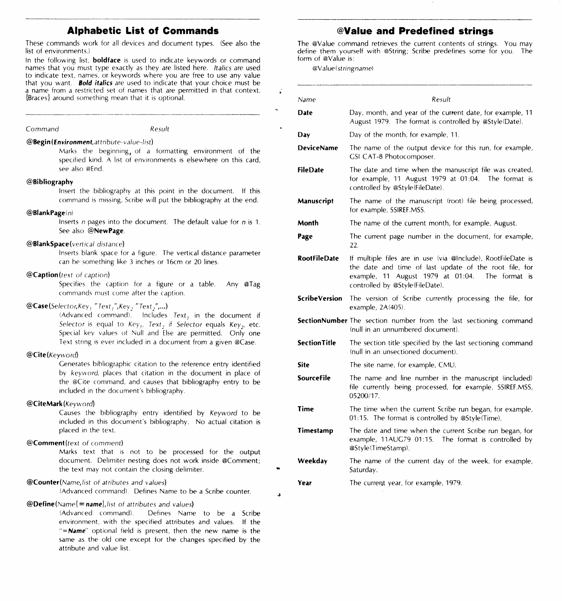# **Alphabetic List of Commands**

These commands work for all devices and document types. (See also the list of environments.)

In the following list, **boldface** is used to indicate keywords or command names that you must type exactly as they are listed here. Italics are used to indicate text, names, or keywords where you are free to use any value that you want. **Bold italics** are used to indicate that your choice must be a name from a restricted set of names that are permitted in that context. (Braces l around something mean that it is optional.

#### *Command* Result

 $@$ Begin (*Environment, attribute-value-list*)

Marks the beginning, oi a formatting environment of the specified kind. A list of environments is elsewhere on this card, see also @End.

#### @Bibliography

Insert the bibliography at this point in the document. If this command is missing. Scribe will put the bibliography at the end.

## $@$ Blank Page $(n)$

Inserts *n* pages into the document. The default value for *n* is 1. See also @NewPage.

# @BlankSpace(vertical distance)

Inserts blank space for a figure. The vertical distance parameter can be something like 3 inches or 16cm or 20 lines.

## @Caption(texl of caption)

Specifies the caption for a figure or *a* table. Any @Tag commands must come after the caption.

# @Case(Selector,Key, "Text,",Key, "Text,",...)

(Advanced command). Includes  $Text<sub>1</sub>$  in the document if *Selector* is equal to *Key<sub>1</sub>*, *Text*<sub>2</sub> if *Selector* equals *Key<sub>2</sub>*, etc. Special key values oi Null and Else are permitted. Only one Text string is ever included in a document from a given @Case.

## @Cite(Keyword)

Generates bibliographic citation to the reference entry identified by *keyword.* places that citation in the document in place of the @Cite command. and causes that bibliography entry to be included in the document's bibliography.

#### @CiteMark(Keyword)

Causes the bibliography entry identified by *Keyword* to be included in this document's bibliography. No actual citation is placed in the text.

# @Comment(texr of comment)

Marks text that 1s not to be processed for the output document. Delimiter nesting does not work inside @Comment; the text may not contain the closing delimiter.

#### @Counter(Name,/isr *of atrthutes and values)*

!Advanced command!. Defines Name to be a Scribe counter.

## @Define(Name( = *namel,i1st* of *attributes and* values)

!Advanced command!. Defines Name to be a Scribe environment, with the specified attributes and values. If the *"=Name"* optional field 1s present, then the new name is the same as the old one except for the changes specified by the attribute and value list.

# **@Value and Predefined strings**

The @Value command retrieves the current contents of strings. You may define them yourself with @String; Scribe predefines some for you. The form of @Value is:

@Value(string name)

| Name                 | Result                                                                                                                                                                                                       |
|----------------------|--------------------------------------------------------------------------------------------------------------------------------------------------------------------------------------------------------------|
| Date                 | Day, month, and year of the current date, for example, 11<br>August 1979. The format is controlled by @Style(Date).                                                                                          |
| Day                  | Day of the month, for example, 11.                                                                                                                                                                           |
| <b>DeviceName</b>    | The name of the output device for this run, for example,<br><b>GSI CAT-8 Photocomposer.</b>                                                                                                                  |
| FileDate             | The date and time when the manuscript file was created,<br>for example, 11 August 1979 at 01:04. The format is<br>controlled by @Style(FileDate).                                                            |
| Manuscript           | The name of the manuscript (root) file being processed,<br>for example, SSIREF.MSS.                                                                                                                          |
| Month                | The name of the current month, for example, August.                                                                                                                                                          |
| Page                 | The current page number in the document, for example,<br>22.                                                                                                                                                 |
| <b>RootFileDate</b>  | If multiple files are in use (via @Include), RootFileDate is<br>the date and time of last update of the root file, for<br>example, 11 August 1979 at 01:04. The format is<br>controlled by @Style(FileDate). |
| <b>ScribeVersion</b> | The version of Scribe currently processing the file, for<br>example, 2A(405).                                                                                                                                |
|                      | <b>SectionNumber</b> The section number from the last sectioning command<br>(null in an unnumbered document).                                                                                                |
| <b>Section Title</b> | The section title specified by the last sectioning command<br>(null in an unsectioned document).                                                                                                             |
| Site                 | The site name, for example, CMU.                                                                                                                                                                             |
| <b>SourceFile</b>    | The name and line number in the manuscript (included)<br>file currently being processed, for example, SSIREF.MSS,<br>05200/17.                                                                               |
| Time                 | The time when the current Scribe run began, for example,<br>01:15. The format is controlled by @Style(Time).                                                                                                 |
| Timestamp            | The date and time when the current Scribe run began, for<br>example, 11AUG79 01:15. The format is controlled by<br>@Style(TimeStamp).                                                                        |
| Weekday              | The name of the current day of the week, for example,<br>Saturday.                                                                                                                                           |
| Year                 | The current year, for example, 1979.                                                                                                                                                                         |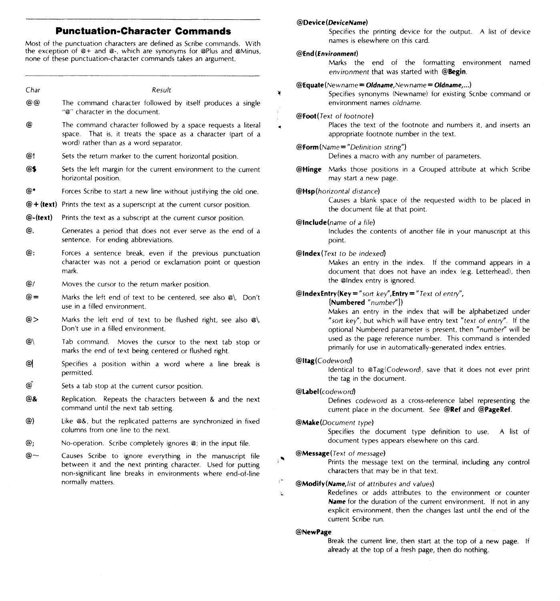# **Punctuation-Character Commands**

Most of the punctuation characters are defined as Scribe commands. With the exception of @+ and @-, which are synonyms for @Plus and @Minus, none of these punctuation-character commands takes an argument.

| Char     | Result                                                                                                                                                                                                          | ¥        |
|----------|-----------------------------------------------------------------------------------------------------------------------------------------------------------------------------------------------------------------|----------|
| @@       | The command character followed by itself produces a single<br>"@" character in the document.                                                                                                                    |          |
| @        | The command character followed by a space requests a literal<br>That is, it treats the space as a character (part of a<br>space.<br>word) rather than as a word separator.                                      |          |
| @!       | Sets the return marker to the current horizontal position.                                                                                                                                                      |          |
| @\$      | Sets the left margin for the current environment to the current<br>horizontal position.                                                                                                                         |          |
| @*       | Forces Scribe to start a new line without justifying the old one.                                                                                                                                               |          |
|          | $@ +$ (text) Prints the text as a superscript at the current cursor position.                                                                                                                                   |          |
| @-(text) | Prints the text as a subscript at the current cursor position.                                                                                                                                                  |          |
| @.       | Generates a period that does not ever serve as the end of a<br>sentence. For ending abbreviations.                                                                                                              |          |
| @:       | Forces a sentence break, even if the previous punctuation<br>character was not a period or exclamation point or question<br>mark.                                                                               |          |
| @/       | Moves the cursor to the return marker position.                                                                                                                                                                 |          |
| @=       | Marks the left end of text to be centered, see also @\. Don't<br>use in a filled environment.                                                                                                                   |          |
| @>       | Marks the left end of text to be flushed right, see also $\omega$ ).<br>Don't use in a filled environment.                                                                                                      |          |
| @∖       | Tab command. Moves the cursor to the next tab stop or<br>marks the end of text being centered or flushed right.                                                                                                 |          |
| @        | Specifies a position within a word where a line break is<br>permitted.                                                                                                                                          |          |
| @ົ       | Sets a tab stop at the current cursor position.                                                                                                                                                                 |          |
| @&       | Replication. Repeats the characters between & and the next<br>command until the next tab setting.                                                                                                               |          |
| @)       | Like @&, but the replicated patterns are synchronized in fixed<br>columns from one line to the next.                                                                                                            |          |
| @;       | No-operation. Scribe completely ignores @; in the input file.                                                                                                                                                   |          |
| ര~       | Causes Scribe to ignore everything in the manuscript file<br>between it and the next printing character. Used for putting<br>non-significant line breaks in environments where end-of-line<br>normally matters. | ۰,<br>í. |
|          |                                                                                                                                                                                                                 | ь        |

## **@Device (DeviceName)**

Specifies the printing device for the output. A list of device names is elsewhere on this card.

#### **@End(Environment)**

Marks the end of the formatting environment named environment that was started with **@Begin.** 

#### @Equate(Newname = Oldname,Newname = **O/dname, ... )**

Specifies synonyms (Newname) for existing Scribe command or **environment names** *oldname.* 

#### @Foot(Text of footnote)

Places the text of the footnote and numbers it, and inserts an appropriate footnote number in the text.

@Form(Name= "Definition string")

Defines a macro with any number of parameters.

**@Hinge** Marks those positions in a Grouped attribute at which Scribe may start a new page.

## @Hsp(horizontal distance)

Causes a blank space of the requested width to be placed in the document file at that point.

@lnclude(name of a file)

Includes the contents of another file in your manuscript at this point.

#### @lndex(Text to be indexed)

Makes an entry in the index. If the command appears in a document that does not have an index (e.g. Letterhead), then the @Index entry is ignored.

## **@lndexEntry(Key** ="sort key", **Entry=** "Text of entry",

**(Numbered** "number''))

Makes an entry in the index that will be alphabetized under "sort key", but which will have entry text "text of entry". If the optional Numbered parameter is present, then "number'' will be used as the page reference number. This command is intended primarily for use in automatically-generated index entries.

#### @ltag(Codeword)

Identical to @Tag(Codeword), save that it does not ever print the tag in the document.

## @Label(codeword)

Defines codeword as a cross-reference label representing the current place in the document. See **@Ref** and **@PageRef.** 

## @Make(Oocument type)

Specifies the document type definition to use. A list of document types appears elsewhere on this card.

#### @Message(Text of message)

Prints the message text on the terminal, including any control characters that may be in that text.

## @Modify(Name,list of attributes and values)

Redefines or adds attributes to the environment or counter **Name** for the duration of the current environment. If not in any explicit environment, then the changes last until the end of the current Scribe run.

#### **@NewPage**

Break the current line, then start at the top of a new page. If already at the top of a fresh page, then do nothing.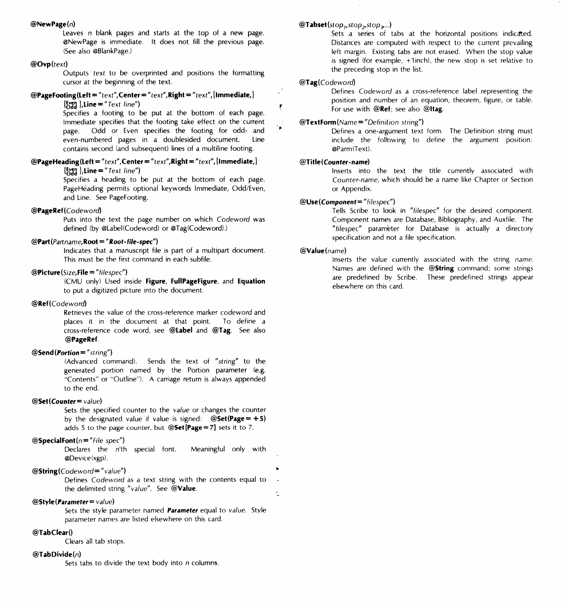#### @NewPage(n)

Leaves *n* blank pages and starts at the top of a new page. @NewPage is immediate. It does not fill the previous page. (See also @BlankPage.)

## @Ovp(text)

Outputs *text* to be overprinted and positions the formatting cursor at the beginning of the text.

# @PageFooting(Left = "text",Center= "text",Right *="text",* (Immediate,)

Specifies a footing to be put at the bottom of each page. Immediate specifies that the footing take effect on the current page. Odd or Even specifies the footing for odd- and even-numbered pages in a doublesided document. Line contains second land subsequent) lines of a multiline footing.

#### @PageHeading(Left = "text",Center = "text",Right *="text",* (Immediate,)  ${$ [<b>kyg</b> }. <b>Line</b> = "Text line")

Specifies a heading to be put at the bottom of each page. PageHeading permits optional keywords Immediate, Odd/Even, and Line. See PageFooting.

#### @PageRef(Codeword)

Puts into the text the page number on which *Codeword* was defined (by @Label(Codeword) or @Tag(Codeword).)

# @Part(Partname,Root ="Root-file-spec")

 ${$ [ $\chi$ g<sub>1</sub>],Line = "Text line")

Indicates that a manuscript file is part of a multipart document. This must be the first command in each subfile.

#### @Picture(Size,File = *"filespec")*

ICMU only) Used inside Figure, FullPageFigure, and Equation to put a digitized picture into the document.

#### @Ref(Codeword)

Retrieves the value of the cross-reference marker *codeword* and places it in the document at that point. To define a cross-reference code word, see @Label and @Tag. See also @PageRef.

#### $@Send($ Portion="string")

(Advanced command). Sends the text of *"string"* to the generated portion named by the Portion parameter (e.g. "Contents" or "Outline"). A carriage return is always appended to the end.

## @Set(Counter= value)

Sets the specified counter to the *value* or changes the counter by the designated value if value is signed:  $@Set(Page = +5)$ adds 5 to the page counter, but  $@Set[Page = 7]$  sets it to 7.

## @SpecialFont(n *="File* spec")

Declares the n'th special font. Meaningful only with @Device lxgp).

## @String(Codeword= "value")

Defines *Codeword* as a text string with the contents equal to the delimited string "value". See @Value.

# $@$ Style(Parameter = value)

Sets the style parameter named Parameter equal to *value.* Style parameter names are listed elsewhere on this card.

#### @Tab Clear()

Clears all tab stops.

#### $@$ TabDivide $(n)$

Sets tabs to divide the text body into *n* columns.

# $@Tabset({stop_1, stop_2, stop_3...})$

Sets .a series of tabs at the horizontal positions indicated. Distances are computed with respect to the current prevailing left margin. Existing tabs are not erased. When the stop value is signed (for example,  $+1$  inch), the new stop is set relative to the preceding stop in the list.

#### @Tag( *Codeword)*

..

Defines *Codeword* as a cross-reference label representing the position and number of an equation, theorem, figure, or table. For use with @Ref: see also @Itag.

#### @TextForm(Name= *"Definition* string")

Defines a one-argument text form. The Definition string must include the follbwing to define the argument position: @Parm(Text).

#### @Title(Counter-name)

Inserts into the text the title currently associated with *Counter-name,* which should be a name like Chapter or Section or Appendix.

#### @Use(Component= *"filespec")*

Tells Scribe to look in *"filespec"* for the desired component. Component names are Database, Bibliography, and Auxfile. The "filespec" parameter for Database is actually a directory specification and not a file specification.

#### @Value(name)

Inserts the value currently associated with the string name. Names are defined with the @String command; some strings are predefined by Scribe. These predefined strings appear elsewhere on this card.